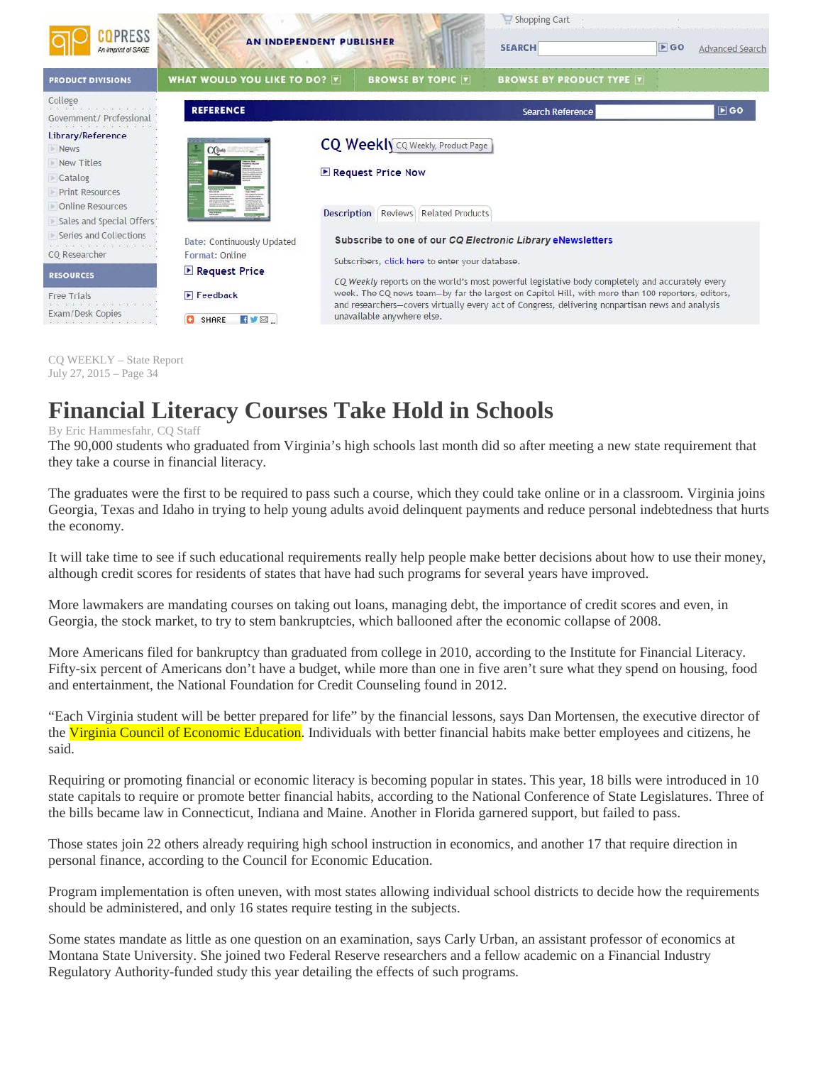

CQ WEEKLY – State Report July 27, 2015 – Page 34

## **Financial Literacy Courses Take Hold in Schools**

## By Eric Hammesfahr, CQ Staff

The 90,000 students who graduated from Virginia's high schools last month did so after meeting a new state requirement that they take a course in financial literacy.

The graduates were the first to be required to pass such a course, which they could take online or in a classroom. Virginia joins Georgia, Texas and Idaho in trying to help young adults avoid delinquent payments and reduce personal indebtedness that hurts the economy.

It will take time to see if such educational requirements really help people make better decisions about how to use their money, although credit scores for residents of states that have had such programs for several years have improved.

More lawmakers are mandating courses on taking out loans, managing debt, the importance of credit scores and even, in Georgia, the stock market, to try to stem bankruptcies, which ballooned after the economic collapse of 2008.

More Americans filed for bankruptcy than graduated from college in 2010, according to the Institute for Financial Literacy. Fifty-six percent of Americans don't have a budget, while more than one in five aren't sure what they spend on housing, food and entertainment, the National Foundation for Credit Counseling found in 2012.

"Each Virginia student will be better prepared for life" by the financial lessons, says Dan Mortensen, the executive director of the Virginia Council of Economic Education. Individuals with better financial habits make better employees and citizens, he said.

Requiring or promoting financial or economic literacy is becoming popular in states. This year, 18 bills were introduced in 10 state capitals to require or promote better financial habits, according to the National Conference of State Legislatures. Three of the bills became law in Connecticut, Indiana and Maine. Another in Florida garnered support, but failed to pass.

Those states join 22 others already requiring high school instruction in economics, and another 17 that require direction in personal finance, according to the Council for Economic Education.

Program implementation is often uneven, with most states allowing individual school districts to decide how the requirements should be administered, and only 16 states require testing in the subjects.

Some states mandate as little as one question on an examination, says Carly Urban, an assistant professor of economics at Montana State University. She joined two Federal Reserve researchers and a fellow academic on a Financial Industry Regulatory Authority-funded study this year detailing the effects of such programs.